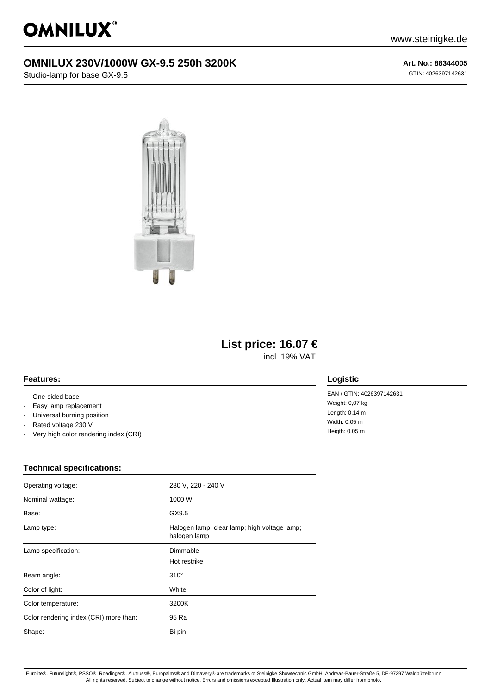

## **OMNILUX 230V/1000W GX-9.5 250h 3200K**

Studio-lamp for base GX-9.5

**Art. No.: 88344005** GTIN: 4026397142631



# **List price: 16.07 €**

incl. 19% VAT.

#### **Features:**

- One-sided base
- Easy lamp replacement
- Universal burning position
- Rated voltage 230 V
- Very high color rendering index (CRI)

### **Technical specifications:**

| Operating voltage:                     | 230 V, 220 - 240 V                                           |
|----------------------------------------|--------------------------------------------------------------|
| Nominal wattage:                       | 1000 W                                                       |
| Base:                                  | GX9.5                                                        |
| Lamp type:                             | Halogen lamp; clear lamp; high voltage lamp;<br>halogen lamp |
| Lamp specification:                    | Dimmable<br>Hot restrike                                     |
| Beam angle:                            | $310^\circ$                                                  |
| Color of light:                        | White                                                        |
| Color temperature:                     | 3200K                                                        |
| Color rendering index (CRI) more than: | 95 Ra                                                        |
| Shape:                                 | Bi pin                                                       |

#### **Logistic**

EAN / GTIN: 4026397142631 Weight: 0,07 kg Length: 0.14 m Width: 0.05 m Heigth: 0.05 m

Eurolite®, Futurelight®, PSSO®, Roadinger®, Alutruss®, Europalms® and Dimavery® are trademarks of Steinigke Showtechnic GmbH, Andreas-Bauer-Straße 5, DE-97297 Waldbüttelbrunn All rights reserved. Subject to change without notice. Errors and omissions excepted.Illustration only. Actual item may differ from photo.